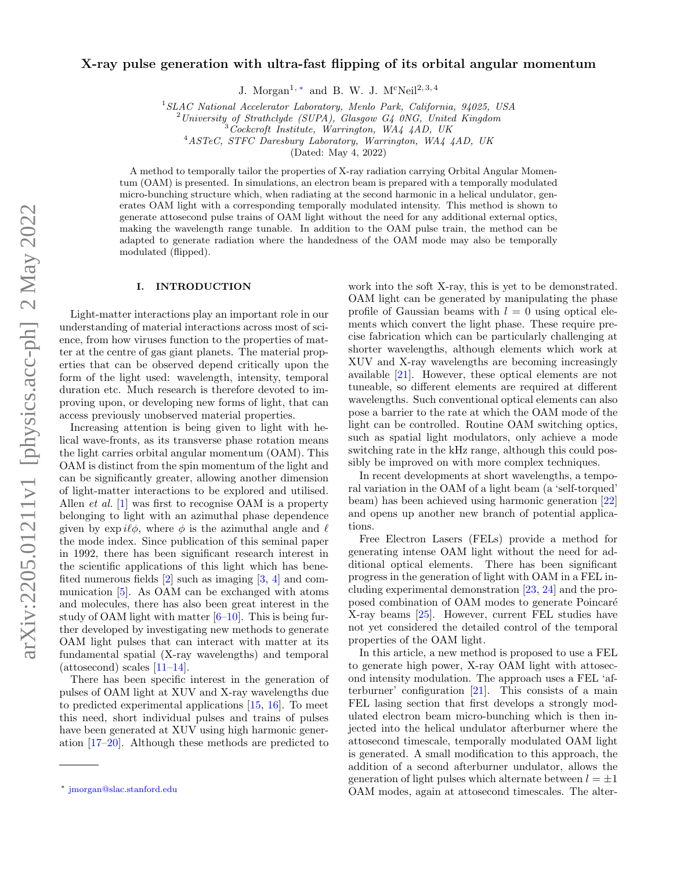# X-ray pulse generation with ultra-fast flipping of its orbital angular momentum

J. Morgan<sup>1,\*</sup> and B. W. J. M<sup>c</sup>Neil<sup>2, 3, 4</sup>

<sup>1</sup>SLAC National Accelerator Laboratory, Menlo Park, California, 94025, USA

<sup>4</sup>ASTeC, STFC Daresbury Laboratory, Warrington, WA4 4AD, UK

(Dated: May 4, 2022)

A method to temporally tailor the properties of X-ray radiation carrying Orbital Angular Momentum (OAM) is presented. In simulations, an electron beam is prepared with a temporally modulated micro-bunching structure which, when radiating at the second harmonic in a helical undulator, generates OAM light with a corresponding temporally modulated intensity. This method is shown to generate attosecond pulse trains of OAM light without the need for any additional external optics, making the wavelength range tunable. In addition to the OAM pulse train, the method can be adapted to generate radiation where the handedness of the OAM mode may also be temporally modulated (flipped).

### I. INTRODUCTION

Light-matter interactions play an important role in our understanding of material interactions across most of science, from how viruses function to the properties of matter at the centre of gas giant planets. The material properties that can be observed depend critically upon the form of the light used: wavelength, intensity, temporal duration etc. Much research is therefore devoted to improving upon, or developing new forms of light, that can access previously unobserved material properties.

Increasing attention is being given to light with helical wave-fronts, as its transverse phase rotation means the light carries orbital angular momentum (OAM). This OAM is distinct from the spin momentum of the light and can be significantly greater, allowing another dimension of light-matter interactions to be explored and utilised. Allen *et al.* [\[1\]](#page-4-0) was first to recognise OAM is a property belonging to light with an azimuthal phase dependence given by  $\exp i\ell\phi$ , where  $\phi$  is the azimuthal angle and  $\ell$ the mode index. Since publication of this seminal paper in 1992, there has been significant research interest in the scientific applications of this light which has benefited numerous fields  $[2]$  such as imaging  $[3, 4]$  $[3, 4]$  $[3, 4]$  and communication [\[5\]](#page-4-4). As OAM can be exchanged with atoms and molecules, there has also been great interest in the study of OAM light with matter  $[6-10]$  $[6-10]$ . This is being further developed by investigating new methods to generate OAM light pulses that can interact with matter at its fundamental spatial (X-ray wavelengths) and temporal  $(\text{attosecond})$  scales  $[11-14]$  $[11-14]$ .

There has been specific interest in the generation of pulses of OAM light at XUV and X-ray wavelengths due to predicted experimental applications [\[15,](#page-5-3) [16\]](#page-5-4). To meet this need, short individual pulses and trains of pulses have been generated at XUV using high harmonic generation [\[17–](#page-5-5)[20\]](#page-5-6). Although these methods are predicted to

work into the soft X-ray, this is yet to be demonstrated. OAM light can be generated by manipulating the phase profile of Gaussian beams with  $l = 0$  using optical elements which convert the light phase. These require precise fabrication which can be particularly challenging at shorter wavelengths, although elements which work at XUV and X-ray wavelengths are becoming increasingly available [\[21\]](#page-5-7). However, these optical elements are not tuneable, so different elements are required at different wavelengths. Such conventional optical elements can also pose a barrier to the rate at which the OAM mode of the light can be controlled. Routine OAM switching optics, such as spatial light modulators, only achieve a mode switching rate in the kHz range, although this could possibly be improved on with more complex techniques.

In recent developments at short wavelengths, a temporal variation in the OAM of a light beam (a 'self-torqued' beam) has been achieved using harmonic generation [\[22\]](#page-5-8) and opens up another new branch of potential applications.

Free Electron Lasers (FELs) provide a method for generating intense OAM light without the need for additional optical elements. There has been significant progress in the generation of light with OAM in a FEL including experimental demonstration [\[23,](#page-5-9) [24\]](#page-5-10) and the proposed combination of OAM modes to generate Poincaré X-ray beams [\[25\]](#page-5-11). However, current FEL studies have not yet considered the detailed control of the temporal properties of the OAM light.

In this article, a new method is proposed to use a FEL to generate high power, X-ray OAM light with attosecond intensity modulation. The approach uses a FEL 'afterburner' configuration [\[21\]](#page-5-7). This consists of a main FEL lasing section that first develops a strongly modulated electron beam micro-bunching which is then injected into the helical undulator afterburner where the attosecond timescale, temporally modulated OAM light is generated. A small modification to this approach, the addition of a second afterburner undulator, allows the generation of light pulses which alternate between  $l = \pm 1$ OAM modes, again at attosecond timescales. The alter-

 $^{2}$ University of Strathclyde (SUPA), Glasgow G4 0NG, United Kingdom

<sup>3</sup>Cockcroft Institute, Warrington, WA4 4AD, UK

<span id="page-0-0"></span><sup>∗</sup> [jmorgan@slac.stanford.edu](mailto:jmorgan@slac.stanford.edu)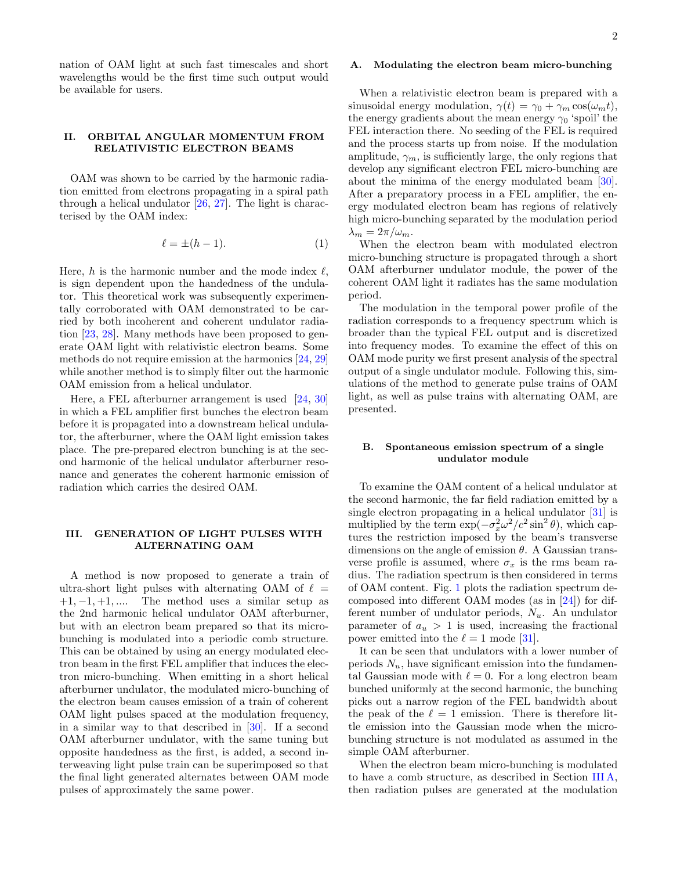nation of OAM light at such fast timescales and short wavelengths would be the first time such output would be available for users.

# II. ORBITAL ANGULAR MOMENTUM FROM RELATIVISTIC ELECTRON BEAMS

OAM was shown to be carried by the harmonic radiation emitted from electrons propagating in a spiral path through a helical undulator [\[26,](#page-5-12) [27\]](#page-5-13). The light is characterised by the OAM index:

$$
\ell = \pm (h - 1). \tag{1}
$$

Here, h is the harmonic number and the mode index  $\ell$ , is sign dependent upon the handedness of the undulator. This theoretical work was subsequently experimentally corroborated with OAM demonstrated to be carried by both incoherent and coherent undulator radiation [\[23,](#page-5-9) [28\]](#page-5-14). Many methods have been proposed to generate OAM light with relativistic electron beams. Some methods do not require emission at the harmonics [\[24,](#page-5-10) [29\]](#page-5-15) while another method is to simply filter out the harmonic OAM emission from a helical undulator.

Here, a FEL afterburner arrangement is used [\[24,](#page-5-10) [30\]](#page-5-16) in which a FEL amplifier first bunches the electron beam before it is propagated into a downstream helical undulator, the afterburner, where the OAM light emission takes place. The pre-prepared electron bunching is at the second harmonic of the helical undulator afterburner resonance and generates the coherent harmonic emission of radiation which carries the desired OAM.

# III. GENERATION OF LIGHT PULSES WITH ALTERNATING OAM

A method is now proposed to generate a train of ultra-short light pulses with alternating OAM of  $\ell =$  $+1, -1, +1, \ldots$  The method uses a similar setup as the 2nd harmonic helical undulator OAM afterburner, but with an electron beam prepared so that its microbunching is modulated into a periodic comb structure. This can be obtained by using an energy modulated electron beam in the first FEL amplifier that induces the electron micro-bunching. When emitting in a short helical afterburner undulator, the modulated micro-bunching of the electron beam causes emission of a train of coherent OAM light pulses spaced at the modulation frequency, in a similar way to that described in [\[30\]](#page-5-16). If a second OAM afterburner undulator, with the same tuning but opposite handedness as the first, is added, a second interweaving light pulse train can be superimposed so that the final light generated alternates between OAM mode pulses of approximately the same power.

### <span id="page-1-0"></span>A. Modulating the electron beam micro-bunching

When a relativistic electron beam is prepared with a sinusoidal energy modulation,  $\gamma(t) = \gamma_0 + \gamma_m \cos(\omega_m t)$ , the energy gradients about the mean energy  $\gamma_0$  'spoil' the FEL interaction there. No seeding of the FEL is required and the process starts up from noise. If the modulation amplitude,  $\gamma_m$ , is sufficiently large, the only regions that develop any significant electron FEL micro-bunching are about the minima of the energy modulated beam [\[30\]](#page-5-16). After a preparatory process in a FEL amplifier, the energy modulated electron beam has regions of relatively high micro-bunching separated by the modulation period  $\lambda_m = 2\pi/\omega_m$ .

When the electron beam with modulated electron micro-bunching structure is propagated through a short OAM afterburner undulator module, the power of the coherent OAM light it radiates has the same modulation period.

The modulation in the temporal power profile of the radiation corresponds to a frequency spectrum which is broader than the typical FEL output and is discretized into frequency modes. To examine the effect of this on OAM mode purity we first present analysis of the spectral output of a single undulator module. Following this, simulations of the method to generate pulse trains of OAM light, as well as pulse trains with alternating OAM, are presented.

# <span id="page-1-1"></span>B. Spontaneous emission spectrum of a single undulator module

To examine the OAM content of a helical undulator at the second harmonic, the far field radiation emitted by a single electron propagating in a helical undulator [\[31\]](#page-5-17) is multiplied by the term  $\exp(-\sigma_x^2 \omega^2/c^2 \sin^2 \theta)$ , which captures the restriction imposed by the beam's transverse dimensions on the angle of emission  $\theta$ . A Gaussian transverse profile is assumed, where  $\sigma_x$  is the rms beam radius. The radiation spectrum is then considered in terms of OAM content. Fig. [1](#page-2-0) plots the radiation spectrum decomposed into different OAM modes (as in [\[24\]](#page-5-10)) for different number of undulator periods,  $N_u$ . An undulator parameter of  $a_u > 1$  is used, increasing the fractional power emitted into the  $\ell = 1$  mode [\[31\]](#page-5-17).

It can be seen that undulators with a lower number of periods  $N_u$ , have significant emission into the fundamental Gaussian mode with  $\ell = 0$ . For a long electron beam bunched uniformly at the second harmonic, the bunching picks out a narrow region of the FEL bandwidth about the peak of the  $\ell = 1$  emission. There is therefore little emission into the Gaussian mode when the microbunching structure is not modulated as assumed in the simple OAM afterburner.

When the electron beam micro-bunching is modulated to have a comb structure, as described in Section [III A,](#page-1-0) then radiation pulses are generated at the modulation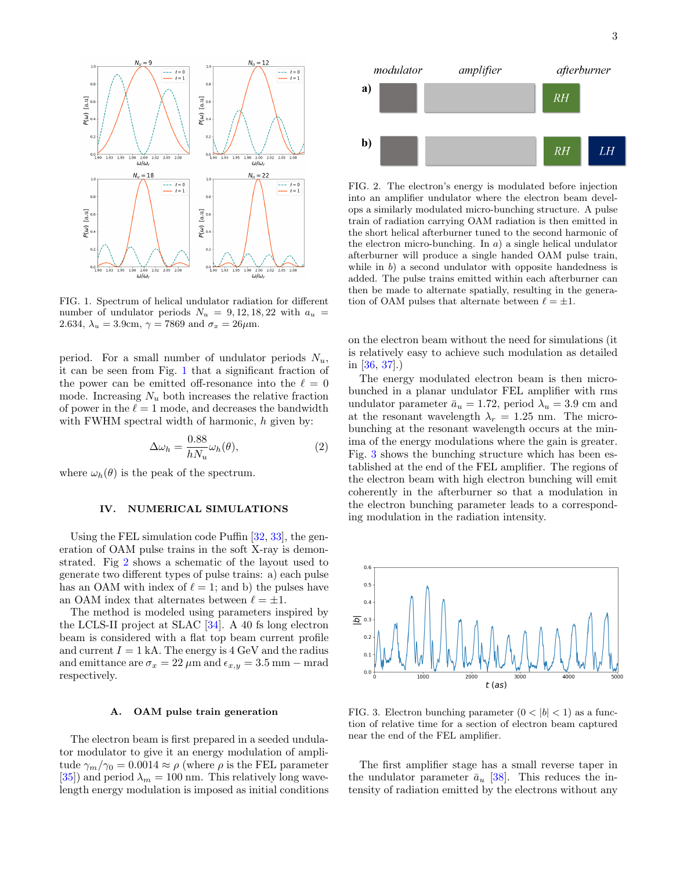

<span id="page-2-0"></span>FIG. 1. Spectrum of helical undulator radiation for different number of undulator periods  $N_u = 9, 12, 18, 22$  with  $a_u =$ 2.634,  $\lambda_u = 3.9$ cm,  $\gamma = 7869$  and  $\sigma_x = 26 \mu$ m.

period. For a small number of undulator periods  $N_u$ , it can be seen from Fig. [1](#page-2-0) that a significant fraction of the power can be emitted off-resonance into the  $\ell = 0$ mode. Increasing  $N_u$  both increases the relative fraction of power in the  $\ell = 1$  mode, and decreases the bandwidth with FWHM spectral width of harmonic,  $h$  given by:

$$
\Delta \omega_h = \frac{0.88}{h N_u} \omega_h(\theta),\tag{2}
$$

where  $\omega_h(\theta)$  is the peak of the spectrum.

# IV. NUMERICAL SIMULATIONS

Using the FEL simulation code Puffin [\[32,](#page-5-18) [33\]](#page-5-19), the generation of OAM pulse trains in the soft X-ray is demonstrated. Fig [2](#page-2-1) shows a schematic of the layout used to generate two different types of pulse trains: a) each pulse has an OAM with index of  $\ell = 1$ ; and b) the pulses have an OAM index that alternates between  $\ell = \pm 1$ .

The method is modeled using parameters inspired by the LCLS-II project at SLAC [\[34\]](#page-5-20). A 40 fs long electron beam is considered with a flat top beam current profile and current  $I = 1$  kA. The energy is 4 GeV and the radius and emittance are  $\sigma_x = 22 \,\mu \text{m}$  and  $\epsilon_{x,y} = 3.5 \,\text{mm} - \text{mrad}$ respectively.

#### A. OAM pulse train generation

The electron beam is first prepared in a seeded undulator modulator to give it an energy modulation of amplitude  $\gamma_m/\gamma_0 = 0.0014 \approx \rho$  (where  $\rho$  is the FEL parameter [\[35\]](#page-5-21)) and period  $\lambda_m = 100$  nm. This relatively long wavelength energy modulation is imposed as initial conditions



<span id="page-2-1"></span>FIG. 2. The electron's energy is modulated before injection into an amplifier undulator where the electron beam develops a similarly modulated micro-bunching structure. A pulse train of radiation carrying OAM radiation is then emitted in the short helical afterburner tuned to the second harmonic of the electron micro-bunching. In  $a$  a single helical undulator afterburner will produce a single handed OAM pulse train, while in  $b$ ) a second undulator with opposite handedness is added. The pulse trains emitted within each afterburner can then be made to alternate spatially, resulting in the generation of OAM pulses that alternate between  $\ell = \pm 1$ .

on the electron beam without the need for simulations (it is relatively easy to achieve such modulation as detailed in [\[36,](#page-5-22) [37\]](#page-5-23).)

The energy modulated electron beam is then microbunched in a planar undulator FEL amplifier with rms undulator parameter  $\bar{a}_u = 1.72$ , period  $\lambda_u = 3.9$  cm and at the resonant wavelength  $\lambda_r = 1.25$  nm. The microbunching at the resonant wavelength occurs at the minima of the energy modulations where the gain is greater. Fig. [3](#page-2-2) shows the bunching structure which has been established at the end of the FEL amplifier. The regions of the electron beam with high electron bunching will emit coherently in the afterburner so that a modulation in the electron bunching parameter leads to a corresponding modulation in the radiation intensity.



<span id="page-2-2"></span>FIG. 3. Electron bunching parameter  $(0 < |b| < 1)$  as a function of relative time for a section of electron beam captured near the end of the FEL amplifier.

The first amplifier stage has a small reverse taper in the undulator parameter  $\bar{a}_u$  [\[38\]](#page-5-24). This reduces the intensity of radiation emitted by the electrons without any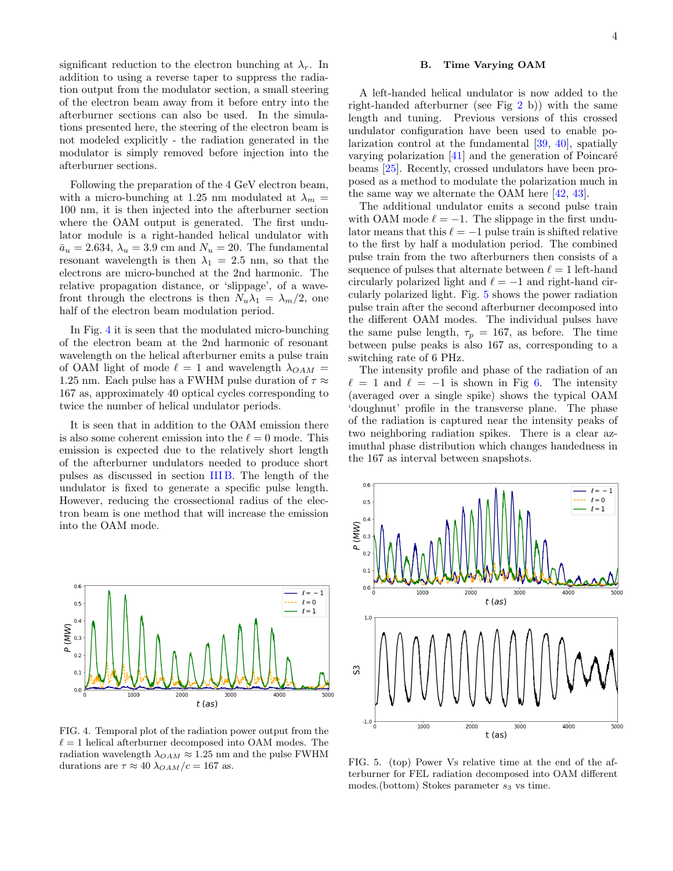significant reduction to the electron bunching at  $\lambda_r$ . In addition to using a reverse taper to suppress the radiation output from the modulator section, a small steering of the electron beam away from it before entry into the afterburner sections can also be used. In the simulations presented here, the steering of the electron beam is not modeled explicitly - the radiation generated in the modulator is simply removed before injection into the afterburner sections.

Following the preparation of the 4 GeV electron beam, with a micro-bunching at 1.25 nm modulated at  $\lambda_m =$ 100 nm, it is then injected into the afterburner section where the OAM output is generated. The first undulator module is a right-handed helical undulator with  $\bar{a}_u = 2.634, \lambda_u = 3.9$  cm and  $N_u = 20$ . The fundamental resonant wavelength is then  $\lambda_1 = 2.5$  nm, so that the electrons are micro-bunched at the 2nd harmonic. The relative propagation distance, or 'slippage', of a wavefront through the electrons is then  $N_u\lambda_1 = \lambda_m/2$ , one half of the electron beam modulation period.

In Fig. [4](#page-3-0) it is seen that the modulated micro-bunching of the electron beam at the 2nd harmonic of resonant wavelength on the helical afterburner emits a pulse train of OAM light of mode  $\ell = 1$  and wavelength  $\lambda_{OAM} =$ 1.25 nm. Each pulse has a FWHM pulse duration of  $\tau \approx$ 167 as, approximately 40 optical cycles corresponding to twice the number of helical undulator periods.

It is seen that in addition to the OAM emission there is also some coherent emission into the  $\ell = 0$  mode. This emission is expected due to the relatively short length of the afterburner undulators needed to produce short pulses as discussed in section [III B.](#page-1-1) The length of the undulator is fixed to generate a specific pulse length. However, reducing the crossectional radius of the electron beam is one method that will increase the emission into the OAM mode.



<span id="page-3-0"></span>FIG. 4. Temporal plot of the radiation power output from the  $\ell = 1$  helical afterburner decomposed into OAM modes. The radiation wavelength  $\lambda_{OAM} \approx 1.25$  nm and the pulse FWHM durations are  $\tau \approx 40 \lambda_{OAM}/c = 167$  as.

# B. Time Varying OAM

A left-handed helical undulator is now added to the right-handed afterburner (see Fig [2](#page-2-1) b)) with the same length and tuning. Previous versions of this crossed undulator configuration have been used to enable polarization control at the fundamental [\[39,](#page-5-25) [40\]](#page-5-26), spatially varying polarization  $[41]$  and the generation of Poincaré beams [\[25\]](#page-5-11). Recently, crossed undulators have been proposed as a method to modulate the polarization much in the same way we alternate the OAM here [\[42,](#page-5-28) [43\]](#page-5-29).

The additional undulator emits a second pulse train with OAM mode  $\ell = -1$ . The slippage in the first undulator means that this  $\ell = -1$  pulse train is shifted relative to the first by half a modulation period. The combined pulse train from the two afterburners then consists of a sequence of pulses that alternate between  $\ell = 1$  left-hand circularly polarized light and  $\ell = -1$  and right-hand circularly polarized light. Fig. [5](#page-3-1) shows the power radiation pulse train after the second afterburner decomposed into the different OAM modes. The individual pulses have the same pulse length,  $\tau_p = 167$ , as before. The time between pulse peaks is also 167 as, corresponding to a switching rate of 6 PHz.

The intensity profile and phase of the radiation of an  $\ell = 1$  and  $\ell = -1$  is shown in Fig [6.](#page-4-6) The intensity (averaged over a single spike) shows the typical OAM 'doughnut' profile in the transverse plane. The phase of the radiation is captured near the intensity peaks of two neighboring radiation spikes. There is a clear azimuthal phase distribution which changes handedness in the 167 as interval between snapshots.



<span id="page-3-1"></span>FIG. 5. (top) Power Vs relative time at the end of the afterburner for FEL radiation decomposed into OAM different modes.(bottom) Stokes parameter  $s_3$  vs time.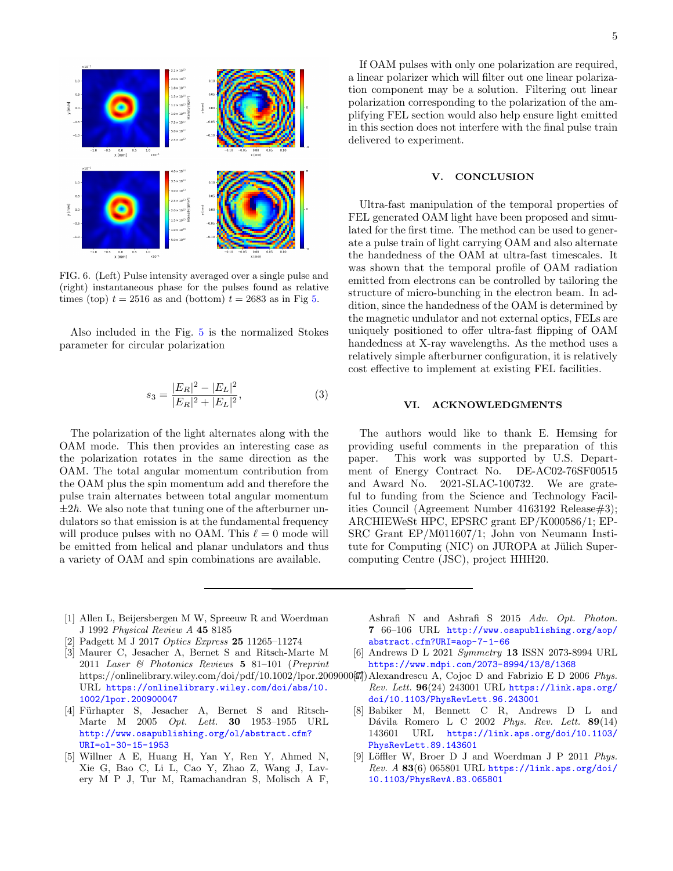

<span id="page-4-6"></span>FIG. 6. (Left) Pulse intensity averaged over a single pulse and (right) instantaneous phase for the pulses found as relative times (top)  $t = 2516$  as and (bottom)  $t = 2683$  as in Fig [5.](#page-3-1)

Also included in the Fig. [5](#page-3-1) is the normalized Stokes parameter for circular polarization

$$
s_3 = \frac{|E_R|^2 - |E_L|^2}{|E_R|^2 + |E_L|^2},\tag{3}
$$

The polarization of the light alternates along with the OAM mode. This then provides an interesting case as the polarization rotates in the same direction as the OAM. The total angular momentum contribution from the OAM plus the spin momentum add and therefore the pulse train alternates between total angular momentum  $\pm 2\hbar$ . We also note that tuning one of the afterburner undulators so that emission is at the fundamental frequency will produce pulses with no OAM. This  $\ell = 0$  mode will be emitted from helical and planar undulators and thus a variety of OAM and spin combinations are available.

If OAM pulses with only one polarization are required, a linear polarizer which will filter out one linear polarization component may be a solution. Filtering out linear polarization corresponding to the polarization of the amplifying FEL section would also help ensure light emitted in this section does not interfere with the final pulse train delivered to experiment.

### V. CONCLUSION

Ultra-fast manipulation of the temporal properties of FEL generated OAM light have been proposed and simulated for the first time. The method can be used to generate a pulse train of light carrying OAM and also alternate the handedness of the OAM at ultra-fast timescales. It was shown that the temporal profile of OAM radiation emitted from electrons can be controlled by tailoring the structure of micro-bunching in the electron beam. In addition, since the handedness of the OAM is determined by the magnetic undulator and not external optics, FELs are uniquely positioned to offer ultra-fast flipping of OAM handedness at X-ray wavelengths. As the method uses a relatively simple afterburner configuration, it is relatively cost effective to implement at existing FEL facilities.

### VI. ACKNOWLEDGMENTS

The authors would like to thank E. Hemsing for providing useful comments in the preparation of this paper. This work was supported by U.S. Department of Energy Contract No. DE-AC02-76SF00515 and Award No. 2021-SLAC-100732. We are grateful to funding from the Science and Technology Facilities Council (Agreement Number 4163192 Release#3); ARCHIEWeSt HPC, EPSRC grant EP/K000586/1; EP-SRC Grant EP/M011607/1; John von Neumann Institute for Computing (NIC) on JUROPA at Jülich Supercomputing Centre (JSC), project HHH20.

- <span id="page-4-0"></span>[1] Allen L, Beijersbergen M W, Spreeuw R and Woerdman J 1992 Physical Review A 45 8185
- <span id="page-4-1"></span>[2] Padgett M J 2017 Optics Express 25 11265–11274
- <span id="page-4-2"></span>[3] Maurer C, Jesacher A, Bernet S and Ritsch-Marte M 2011 Laser & Photonics Reviews 5 81–101 (Preprint https://onlinelibrary.wiley.com/doi/pdf/10.1002/lpor.2009000 $\varphi$  Alexandrescu A, Cojoc D and Fabrizio E D 2006 Phys. URL [https://onlinelibrary.wiley.com/doi/abs/10.](https://onlinelibrary.wiley.com/doi/abs/10.1002/lpor.200900047) [1002/lpor.200900047](https://onlinelibrary.wiley.com/doi/abs/10.1002/lpor.200900047)
- <span id="page-4-3"></span>[4] Fürhapter S, Jesacher A, Bernet S and Ritsch-Marte M 2005 Opt. Lett. 30 1953–1955 URL [http://www.osapublishing.org/ol/abstract.cfm?](http://www.osapublishing.org/ol/abstract.cfm?URI=ol-30-15-1953) [URI=ol-30-15-1953](http://www.osapublishing.org/ol/abstract.cfm?URI=ol-30-15-1953)
- <span id="page-4-4"></span>[5] Willner A E, Huang H, Yan Y, Ren Y, Ahmed N, Xie G, Bao C, Li L, Cao Y, Zhao Z, Wang J, Lavery M P J, Tur M, Ramachandran S, Molisch A F,

Ashrafi N and Ashrafi S 2015 Adv. Opt. Photon. 7 66–106 URL [http://www.osapublishing.org/aop/](http://www.osapublishing.org/aop/abstract.cfm?URI=aop-7-1-66) [abstract.cfm?URI=aop-7-1-66](http://www.osapublishing.org/aop/abstract.cfm?URI=aop-7-1-66)

- <span id="page-4-5"></span>[6] Andrews D L 2021 Symmetry 13 ISSN 2073-8994 URL <https://www.mdpi.com/2073-8994/13/8/1368>
- $Rev. Lett. 96(24) 243001 \text{ URL `https://link.aps.org/`$  $Rev. Lett. 96(24) 243001 \text{ URL `https://link.aps.org/`$  $Rev. Lett. 96(24) 243001 \text{ URL `https://link.aps.org/`$ [doi/10.1103/PhysRevLett.96.243001](https://link.aps.org/doi/10.1103/PhysRevLett.96.243001)
- [8] Babiker M, Bennett C R, Andrews D L and Dávila Romero L C 2002 Phys. Rev. Lett. 89(14) 143601 URL [https://link.aps.org/doi/10.1103/](https://link.aps.org/doi/10.1103/PhysRevLett.89.143601) [PhysRevLett.89.143601](https://link.aps.org/doi/10.1103/PhysRevLett.89.143601)
- [9] Löffler W, Broer D J and Woerdman J P 2011 Phys.  $Rev. A 83(6) 065801 \text{ URL `https://link.aps.org/doi/`$  $Rev. A 83(6) 065801 \text{ URL `https://link.aps.org/doi/`$  $Rev. A 83(6) 065801 \text{ URL `https://link.aps.org/doi/`$ [10.1103/PhysRevA.83.065801](https://link.aps.org/doi/10.1103/PhysRevA.83.065801)